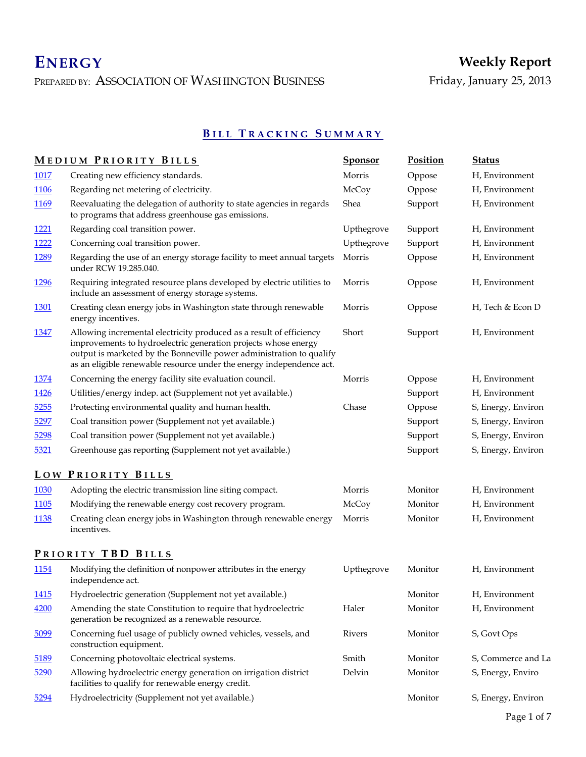PREPARED BY: ASSOCIATION OF WASHINGTON BUSINESS

# **B I L L T R A C K I N G S U M M A R Y**

|              | <b>MEDIUM PRIORITY BILLS</b>                                                                                                                                                                                                                                                          | <b>Sponsor</b> | Position | <b>Status</b>      |
|--------------|---------------------------------------------------------------------------------------------------------------------------------------------------------------------------------------------------------------------------------------------------------------------------------------|----------------|----------|--------------------|
| 1017         | Creating new efficiency standards.                                                                                                                                                                                                                                                    | Morris         | Oppose   | H, Environment     |
| 1106         | Regarding net metering of electricity.                                                                                                                                                                                                                                                | McCoy          | Oppose   | H, Environment     |
| <u>1169</u>  | Reevaluating the delegation of authority to state agencies in regards<br>to programs that address greenhouse gas emissions.                                                                                                                                                           | Shea           | Support  | H, Environment     |
| 1221         | Regarding coal transition power.                                                                                                                                                                                                                                                      | Upthegrove     | Support  | H, Environment     |
| 1222         | Concerning coal transition power.                                                                                                                                                                                                                                                     | Upthegrove     | Support  | H, Environment     |
| 1289         | Regarding the use of an energy storage facility to meet annual targets<br>under RCW 19.285.040.                                                                                                                                                                                       | Morris         | Oppose   | H, Environment     |
| <u>1296</u>  | Requiring integrated resource plans developed by electric utilities to<br>include an assessment of energy storage systems.                                                                                                                                                            | Morris         | Oppose   | H, Environment     |
| <u>1301</u>  | Creating clean energy jobs in Washington state through renewable<br>energy incentives.                                                                                                                                                                                                | Morris         | Oppose   | H, Tech & Econ D   |
| <u>1347</u>  | Allowing incremental electricity produced as a result of efficiency<br>improvements to hydroelectric generation projects whose energy<br>output is marketed by the Bonneville power administration to qualify<br>as an eligible renewable resource under the energy independence act. | Short          | Support  | H, Environment     |
| 1374         | Concerning the energy facility site evaluation council.                                                                                                                                                                                                                               | Morris         | Oppose   | H, Environment     |
| <u>1426</u>  | Utilities/energy indep. act (Supplement not yet available.)                                                                                                                                                                                                                           |                | Support  | H, Environment     |
| 5255         | Protecting environmental quality and human health.                                                                                                                                                                                                                                    | Chase          | Oppose   | S, Energy, Environ |
| 5297         | Coal transition power (Supplement not yet available.)                                                                                                                                                                                                                                 |                | Support  | S, Energy, Environ |
| 5298         | Coal transition power (Supplement not yet available.)                                                                                                                                                                                                                                 |                | Support  | S, Energy, Environ |
| 5321         | Greenhouse gas reporting (Supplement not yet available.)                                                                                                                                                                                                                              |                | Support  | S, Energy, Environ |
|              | LOW PRIORITY BILLS                                                                                                                                                                                                                                                                    |                |          |                    |
| 1030         | Adopting the electric transmission line siting compact.                                                                                                                                                                                                                               | Morris         | Monitor  | H, Environment     |
| <u> 1105</u> | Modifying the renewable energy cost recovery program.                                                                                                                                                                                                                                 | McCoy          | Monitor  | H, Environment     |
| <u>1138</u>  | Creating clean energy jobs in Washington through renewable energy<br>incentives.                                                                                                                                                                                                      | Morris         | Monitor  | H, Environment     |
|              | PRIORITY TBD BILLS                                                                                                                                                                                                                                                                    |                |          |                    |
| 1154         | Modifying the definition of nonpower attributes in the energy<br>independence act.                                                                                                                                                                                                    | Upthegrove     | Monitor  | H, Environment     |
| 1415         | Hydroelectric generation (Supplement not yet available.)                                                                                                                                                                                                                              |                | Monitor  | H, Environment     |
| 4200         | Amending the state Constitution to require that hydroelectric<br>generation be recognized as a renewable resource.                                                                                                                                                                    | Haler          | Monitor  | H, Environment     |
| 5099         | Concerning fuel usage of publicly owned vehicles, vessels, and<br>construction equipment.                                                                                                                                                                                             | Rivers         | Monitor  | S, Govt Ops        |
| 5189         | Concerning photovoltaic electrical systems.                                                                                                                                                                                                                                           | Smith          | Monitor  | S, Commerce and La |
| 5290         | Allowing hydroelectric energy generation on irrigation district<br>facilities to qualify for renewable energy credit.                                                                                                                                                                 | Delvin         | Monitor  | S, Energy, Enviro  |
| 5294         | Hydroelectricity (Supplement not yet available.)                                                                                                                                                                                                                                      |                | Monitor  | S, Energy, Environ |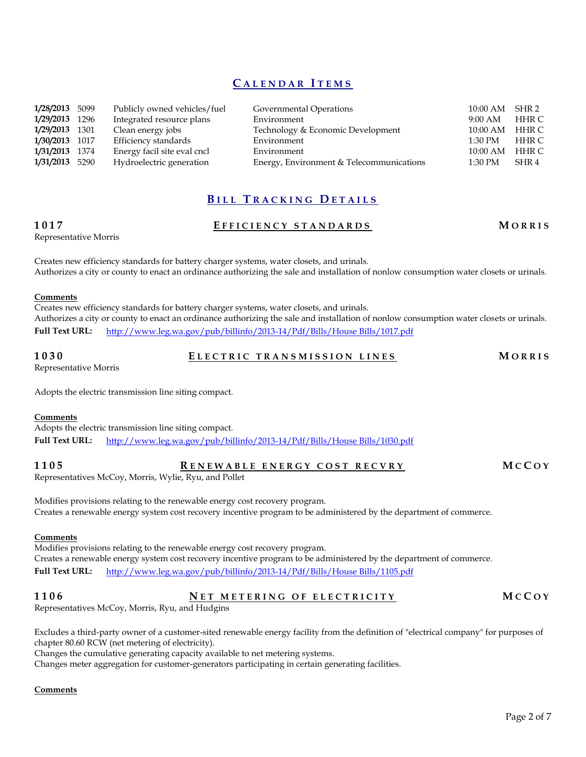## **C A L E N D A R I T E M S**

| 1/28/2013 5099 | Publicly owned vehicles/fuel | Governmental Operations                  | $10:00 \text{ AM}$ | SHR 2 |
|----------------|------------------------------|------------------------------------------|--------------------|-------|
| 1/29/2013 1296 | Integrated resource plans    | Environment                              | $9:00$ AM          | HHR C |
| 1/29/2013 1301 | Clean energy jobs            | Technology & Economic Development        | $10:00 \text{ AM}$ | HHR C |
| 1/30/2013 1017 | Efficiency standards         | Environment                              | $1:30$ PM          | HHR C |
| 1/31/2013 1374 | Energy facil site eval cncl  | Environment                              | $10:00$ AM         | HHR C |
| 1/31/2013 5290 | Hydroelectric generation     | Energy, Environment & Telecommunications | $1:30$ PM          | SHR 4 |

## **B I L L T R A C K I N G D E T A I L S**

### **1017 E F F I C I E N C Y S T A N D A R D S M O R R I S**

Representative Morris

Creates new efficiency standards for battery charger systems, water closets, and urinals. Authorizes a city or county to enact an ordinance authorizing the sale and installation of nonlow consumption water closets or urinals.

### **Comments**

Creates new efficiency standards for battery charger systems, water closets, and urinals. Authorizes a city or county to enact an ordinance authorizing the sale and installation of nonlow consumption water closets or urinals. **Full Text URL:** [http://www.leg.wa.gov/pub/billinfo/2013-14/Pdf/Bills/House Bills/1017.pdf](http://www.leg.wa.gov/pub/billinfo/2013-14/Pdf/Bills/House%20Bills/1017.pdf)

**1030 E L E C T R I C T R A N S M I S S I O N L I N E S M O R R I S**

Representative Morris

Adopts the electric transmission line siting compact.

### **Comments**

Adopts the electric transmission line siting compact. **Full Text URL:** [http://www.leg.wa.gov/pub/billinfo/2013-14/Pdf/Bills/House Bills/1030.pdf](http://www.leg.wa.gov/pub/billinfo/2013-14/Pdf/Bills/House%20Bills/1030.pdf)

| 1105 | RENEWABLE ENERGY COST RECVRY | MCCOY |
|------|------------------------------|-------|
|------|------------------------------|-------|

Representatives McCoy, Morris, Wylie, Ryu, and Pollet

Modifies provisions relating to the renewable energy cost recovery program. Creates a renewable energy system cost recovery incentive program to be administered by the department of commerce.

### **Comments**

Modifies provisions relating to the renewable energy cost recovery program. Creates a renewable energy system cost recovery incentive program to be administered by the department of commerce. **Full Text URL:** [http://www.leg.wa.gov/pub/billinfo/2013-14/Pdf/Bills/House Bills/1105.pdf](http://www.leg.wa.gov/pub/billinfo/2013-14/Pdf/Bills/House%20Bills/1105.pdf)

## **1106 N E T M E T E R I N G O F E L E C T R I C I T Y M C C O Y**

Representatives McCoy, Morris, Ryu, and Hudgins

Excludes a third-party owner of a customer-sited renewable energy facility from the definition of "electrical company" for purposes of chapter 80.60 RCW (net metering of electricity).

Changes the cumulative generating capacity available to net metering systems.

Changes meter aggregation for customer-generators participating in certain generating facilities.

## **Comments**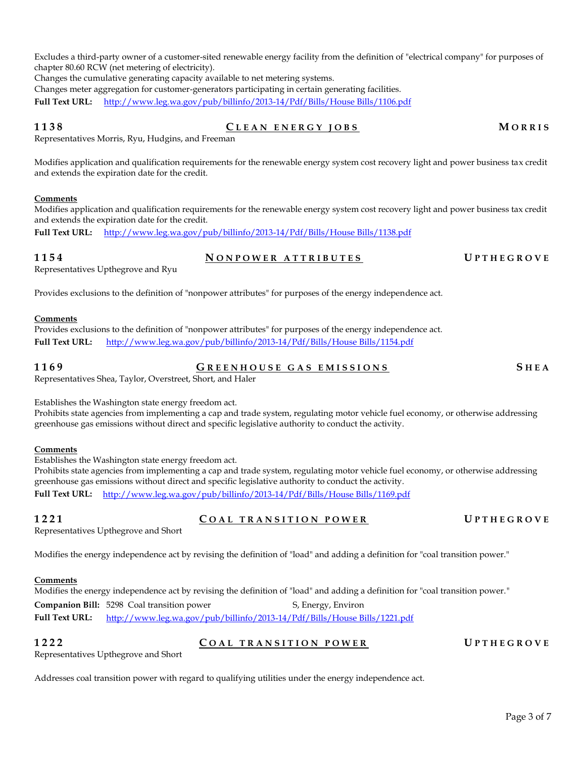Excludes a third-party owner of a customer-sited renewable energy facility from the definition of "electrical company" for purposes of chapter 80.60 RCW (net metering of electricity).

Changes the cumulative generating capacity available to net metering systems.

Changes meter aggregation for customer-generators participating in certain generating facilities.

**Full Text URL:** [http://www.leg.wa.gov/pub/billinfo/2013-14/Pdf/Bills/House Bills/1106.pdf](http://www.leg.wa.gov/pub/billinfo/2013-14/Pdf/Bills/House%20Bills/1106.pdf)

### **1138 C L E A N E N E R G Y J O B S M O R R I S**

Representatives Morris, Ryu, Hudgins, and Freeman

Modifies application and qualification requirements for the renewable energy system cost recovery light and power business tax credit and extends the expiration date for the credit.

### **Comments**

Modifies application and qualification requirements for the renewable energy system cost recovery light and power business tax credit and extends the expiration date for the credit.

**Full Text URL:** [http://www.leg.wa.gov/pub/billinfo/2013-14/Pdf/Bills/House Bills/1138.pdf](http://www.leg.wa.gov/pub/billinfo/2013-14/Pdf/Bills/House%20Bills/1138.pdf)

**1154 N O N P O W E R A T T R I B U T E S U P T H E G R O V E**

Representatives Upthegrove and Ryu

Provides exclusions to the definition of "nonpower attributes" for purposes of the energy independence act.

### **Comments**

Provides exclusions to the definition of "nonpower attributes" for purposes of the energy independence act. **Full Text URL:** [http://www.leg.wa.gov/pub/billinfo/2013-14/Pdf/Bills/House Bills/1154.pdf](http://www.leg.wa.gov/pub/billinfo/2013-14/Pdf/Bills/House%20Bills/1154.pdf)

**1169 G R E E N H O U S E G A S E M I S S I ONS S H E A**

Representatives Shea, Taylor, Overstreet, Short, and Haler

Establishes the Washington state energy freedom act.

Prohibits state agencies from implementing a cap and trade system, regulating motor vehicle fuel economy, or otherwise addressing greenhouse gas emissions without direct and specific legislative authority to conduct the activity.

### **Comments**

Establishes the Washington state energy freedom act.

Prohibits state agencies from implementing a cap and trade system, regulating motor vehicle fuel economy, or otherwise addressing greenhouse gas emissions without direct and specific legislative authority to conduct the activity. **Full Text URL:** [http://www.leg.wa.gov/pub/billinfo/2013-14/Pdf/Bills/House Bills/1169.pdf](http://www.leg.wa.gov/pub/billinfo/2013-14/Pdf/Bills/House%20Bills/1169.pdf)

**1221 C O A L T R A N S I T I O N P O W E R U P T H E G R O V E**

Representatives Upthegrove and Short

Modifies the energy independence act by revising the definition of "load" and adding a definition for "coal transition power."

### **Comments**

Modifies the energy independence act by revising the definition of "load" and adding a definition for "coal transition power." **Companion Bill:** 5298 Coal transition power S, Energy, Environ **Full Text URL:** [http://www.leg.wa.gov/pub/billinfo/2013-14/Pdf/Bills/House Bills/1221.pdf](http://www.leg.wa.gov/pub/billinfo/2013-14/Pdf/Bills/House%20Bills/1221.pdf)

**1222 C O A L T R A N S I T I O N P O W E R U P T H E G R O V E**

Representatives Upthegrove and Short

Addresses coal transition power with regard to qualifying utilities under the energy independence act.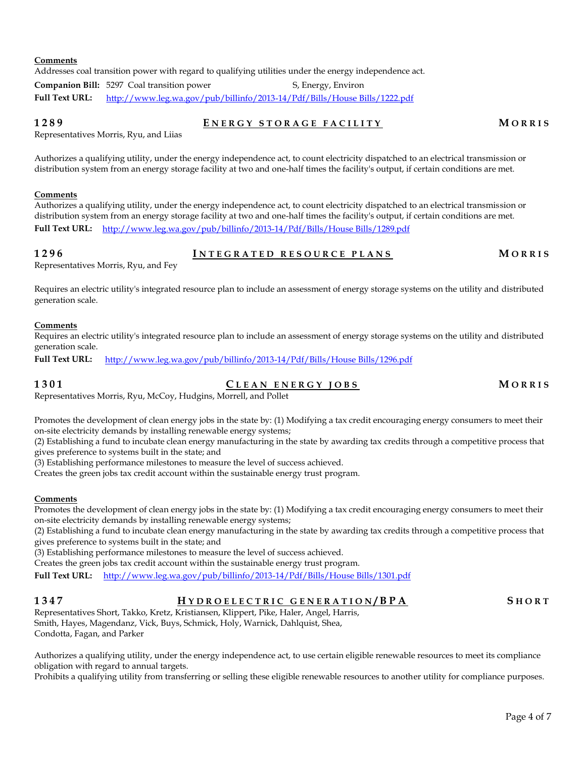Addresses coal transition power with regard to qualifying utilities under the energy independence act.

**Companion Bill:** 5297 Coal transition power S, Energy, Environ **Full Text URL:** [http://www.leg.wa.gov/pub/billinfo/2013-14/Pdf/Bills/House Bills/1222.pdf](http://www.leg.wa.gov/pub/billinfo/2013-14/Pdf/Bills/House%20Bills/1222.pdf)

**1289 E N E R G Y S T O R A G E F A C I L I T Y M O R R I S**

Representatives Morris, Ryu, and Liias

Authorizes a qualifying utility, under the energy independence act, to count electricity dispatched to an electrical transmission or distribution system from an energy storage facility at two and one-half times the facility's output, if certain conditions are met.

### **Comments**

Authorizes a qualifying utility, under the energy independence act, to count electricity dispatched to an electrical transmission or distribution system from an energy storage facility at two and one-half times the facility's output, if certain conditions are met. **Full Text URL:** [http://www.leg.wa.gov/pub/billinfo/2013-14/Pdf/Bills/House Bills/1289.pdf](http://www.leg.wa.gov/pub/billinfo/2013-14/Pdf/Bills/House%20Bills/1289.pdf)

**1296 I N T E G R A T E D R E S O U R C E P L A N S M O R R I S**

Representatives Morris, Ryu, and Fey

Requires an electric utility's integrated resource plan to include an assessment of energy storage systems on the utility and distributed generation scale.

### **Comments**

Requires an electric utility's integrated resource plan to include an assessment of energy storage systems on the utility and distributed generation scale.

**Full Text URL:** [http://www.leg.wa.gov/pub/billinfo/2013-14/Pdf/Bills/House Bills/1296.pdf](http://www.leg.wa.gov/pub/billinfo/2013-14/Pdf/Bills/House%20Bills/1296.pdf)

**1301 C L E A N E N E R G Y J O B S M O R R I S**

Representatives Morris, Ryu, McCoy, Hudgins, Morrell, and Pollet

Promotes the development of clean energy jobs in the state by: (1) Modifying a tax credit encouraging energy consumers to meet their on-site electricity demands by installing renewable energy systems;

(2) Establishing a fund to incubate clean energy manufacturing in the state by awarding tax credits through a competitive process that gives preference to systems built in the state; and

(3) Establishing performance milestones to measure the level of success achieved.

Creates the green jobs tax credit account within the sustainable energy trust program.

### **Comments**

Promotes the development of clean energy jobs in the state by: (1) Modifying a tax credit encouraging energy consumers to meet their on-site electricity demands by installing renewable energy systems;

(2) Establishing a fund to incubate clean energy manufacturing in the state by awarding tax credits through a competitive process that gives preference to systems built in the state; and

(3) Establishing performance milestones to measure the level of success achieved.

Creates the green jobs tax credit account within the sustainable energy trust program.

**Full Text URL:** [http://www.leg.wa.gov/pub/billinfo/2013-14/Pdf/Bills/House Bills/1301.pdf](http://www.leg.wa.gov/pub/billinfo/2013-14/Pdf/Bills/House%20Bills/1301.pdf)

**1347 H Y D R O E L E C T R I C G E N E R A T I O N / B P A S H O R T**

Representatives Short, Takko, Kretz, Kristiansen, Klippert, Pike, Haler, Angel, Harris, Smith, Hayes, Magendanz, Vick, Buys, Schmick, Holy, Warnick, Dahlquist, Shea, Condotta, Fagan, and Parker

Authorizes a qualifying utility, under the energy independence act, to use certain eligible renewable resources to meet its compliance obligation with regard to annual targets.

Prohibits a qualifying utility from transferring or selling these eligible renewable resources to another utility for compliance purposes.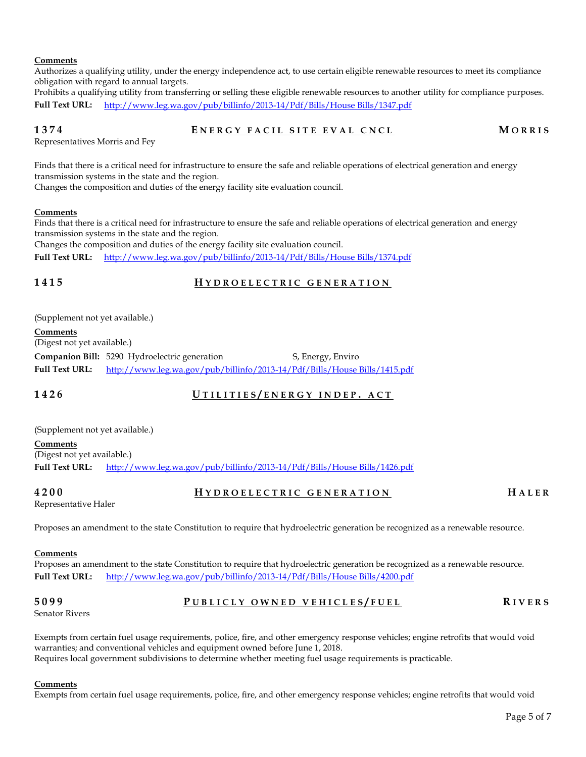### **Comments**

Authorizes a qualifying utility, under the energy independence act, to use certain eligible renewable resources to meet its compliance obligation with regard to annual targets.

Prohibits a qualifying utility from transferring or selling these eligible renewable resources to another utility for compliance purposes. **Full Text URL:** [http://www.leg.wa.gov/pub/billinfo/2013-14/Pdf/Bills/House Bills/1347.pdf](http://www.leg.wa.gov/pub/billinfo/2013-14/Pdf/Bills/House%20Bills/1347.pdf)

### **1374 E N E R G Y F A C I L S I T E E V A L C N C L M O R R I S**

Representatives Morris and Fey

Finds that there is a critical need for infrastructure to ensure the safe and reliable operations of electrical generation and energy transmission systems in the state and the region.

Changes the composition and duties of the energy facility site evaluation council.

### **Comments**

Finds that there is a critical need for infrastructure to ensure the safe and reliable operations of electrical generation and energy transmission systems in the state and the region.

Changes the composition and duties of the energy facility site evaluation council.

**Full Text URL:** [http://www.leg.wa.gov/pub/billinfo/2013-14/Pdf/Bills/House Bills/1374.pdf](http://www.leg.wa.gov/pub/billinfo/2013-14/Pdf/Bills/House%20Bills/1374.pdf)

## **1415 H Y D R O E L E C T R I C G E N E R A T I O N**

(Supplement not yet available.)

**Comments**

(Digest not yet available.)

**Companion Bill:** 5290 Hydroelectric generation S, Energy, Enviro **Full Text URL:** [http://www.leg.wa.gov/pub/billinfo/2013-14/Pdf/Bills/House Bills/1415.pdf](http://www.leg.wa.gov/pub/billinfo/2013-14/Pdf/Bills/House%20Bills/1415.pdf)

## **1426 U T I L I T I E S / E N E R G Y I N D E P . A C T**

(Supplement not yet available.) **Comments** (Digest not yet available.) **Full Text URL:** [http://www.leg.wa.gov/pub/billinfo/2013-14/Pdf/Bills/House Bills/1426.pdf](http://www.leg.wa.gov/pub/billinfo/2013-14/Pdf/Bills/House%20Bills/1426.pdf)

**4200 H Y D R O E L E C T R I C G E N E R A T I O N H A L E R**

Representative Haler

Proposes an amendment to the state Constitution to require that hydroelectric generation be recognized as a renewable resource.

### **Comments**

Proposes an amendment to the state Constitution to require that hydroelectric generation be recognized as a renewable resource. **Full Text URL:** [http://www.leg.wa.gov/pub/billinfo/2013-14/Pdf/Bills/House Bills/4200.pdf](http://www.leg.wa.gov/pub/billinfo/2013-14/Pdf/Bills/House%20Bills/4200.pdf)

### **5099 P U B L I C L Y O W N E D V E H I C L E S / F U E L R I V E R S**

Senator Rivers

Exempts from certain fuel usage requirements, police, fire, and other emergency response vehicles; engine retrofits that would void warranties; and conventional vehicles and equipment owned before June 1, 2018. Requires local government subdivisions to determine whether meeting fuel usage requirements is practicable.

### **Comments**

Exempts from certain fuel usage requirements, police, fire, and other emergency response vehicles; engine retrofits that would void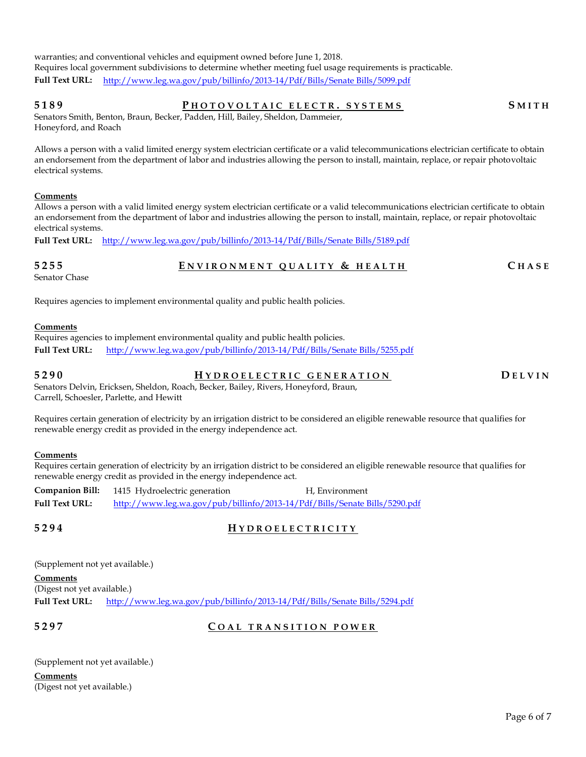warranties; and conventional vehicles and equipment owned before June 1, 2018. Requires local government subdivisions to determine whether meeting fuel usage requirements is practicable. **Full Text URL:** [http://www.leg.wa.gov/pub/billinfo/2013-14/Pdf/Bills/Senate Bills/5099.pdf](http://www.leg.wa.gov/pub/billinfo/2013-14/Pdf/Bills/Senate%20Bills/5099.pdf)

## **5189 P H O T O V O L T A I C E L E C T R . S Y S T E M S S M I T H**

Senators Smith, Benton, Braun, Becker, Padden, Hill, Bailey, Sheldon, Dammeier, Honeyford, and Roach

Allows a person with a valid limited energy system electrician certificate or a valid telecommunications electrician certificate to obtain an endorsement from the department of labor and industries allowing the person to install, maintain, replace, or repair photovoltaic electrical systems.

### **Comments**

Allows a person with a valid limited energy system electrician certificate or a valid telecommunications electrician certificate to obtain an endorsement from the department of labor and industries allowing the person to install, maintain, replace, or repair photovoltaic electrical systems.

**Full Text URL:** [http://www.leg.wa.gov/pub/billinfo/2013-14/Pdf/Bills/Senate Bills/5189.pdf](http://www.leg.wa.gov/pub/billinfo/2013-14/Pdf/Bills/Senate%20Bills/5189.pdf)

## **5255 E N V I R O N M E N T Q U A L I T Y & H E A L T H C H A S E**

Senator Chase

Requires agencies to implement environmental quality and public health policies.

### **Comments**

Requires agencies to implement environmental quality and public health policies. **Full Text URL:** [http://www.leg.wa.gov/pub/billinfo/2013-14/Pdf/Bills/Senate Bills/5255.pdf](http://www.leg.wa.gov/pub/billinfo/2013-14/Pdf/Bills/Senate%20Bills/5255.pdf)

**5290 H Y D R O E L E C T R I C G E N E R A T I O N D E L V I N**

Senators Delvin, Ericksen, Sheldon, Roach, Becker, Bailey, Rivers, Honeyford, Braun, Carrell, Schoesler, Parlette, and Hewitt

Requires certain generation of electricity by an irrigation district to be considered an eligible renewable resource that qualifies for renewable energy credit as provided in the energy independence act.

### **Comments**

Requires certain generation of electricity by an irrigation district to be considered an eligible renewable resource that qualifies for renewable energy credit as provided in the energy independence act.

**Companion Bill:** 1415 Hydroelectric generation H, Environment **Full Text URL:** [http://www.leg.wa.gov/pub/billinfo/2013-14/Pdf/Bills/Senate Bills/5290.pdf](http://www.leg.wa.gov/pub/billinfo/2013-14/Pdf/Bills/Senate%20Bills/5290.pdf)

## **5294 H Y D R O E L E C T R I C I T Y**

(Supplement not yet available.)

**Comments**

(Digest not yet available.)

**Full Text URL:** [http://www.leg.wa.gov/pub/billinfo/2013-14/Pdf/Bills/Senate Bills/5294.pdf](http://www.leg.wa.gov/pub/billinfo/2013-14/Pdf/Bills/Senate%20Bills/5294.pdf)

### **5297 C O A L T R A N S I T I O N P O W E R**

(Supplement not yet available.)

**Comments** (Digest not yet available.)